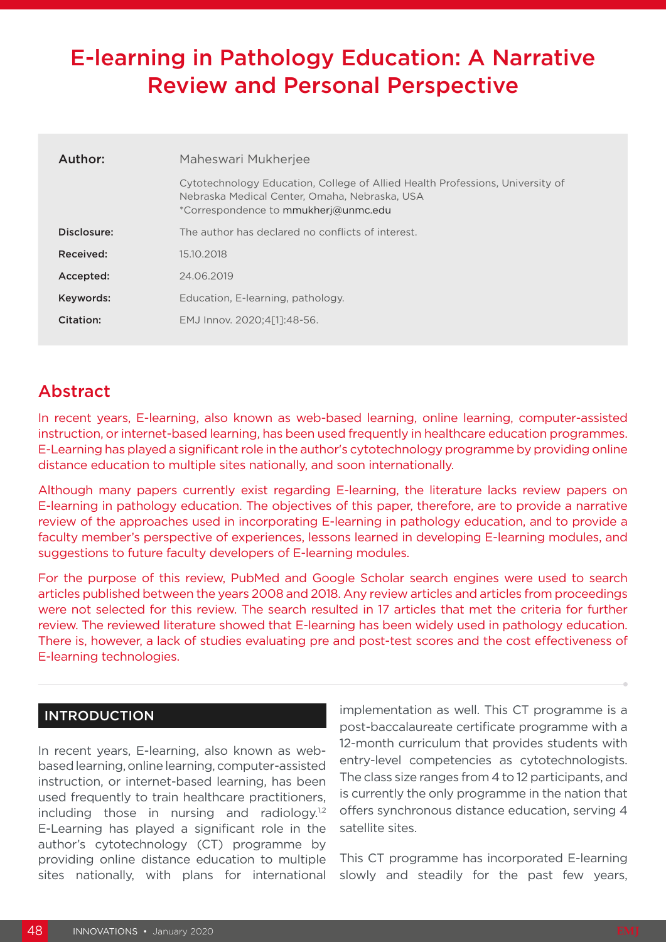# E-learning in Pathology Education: A Narrative Review and Personal Perspective

| Author:     | Maheswari Mukherjee                                                                                                                                                    |  |  |
|-------------|------------------------------------------------------------------------------------------------------------------------------------------------------------------------|--|--|
|             | Cytotechnology Education, College of Allied Health Professions, University of<br>Nebraska Medical Center, Omaha, Nebraska, USA<br>*Correspondence to mmukherj@unmc.edu |  |  |
| Disclosure: | The author has declared no conflicts of interest.                                                                                                                      |  |  |
| Received:   | 15.10.2018                                                                                                                                                             |  |  |
| Accepted:   | 24.06.2019                                                                                                                                                             |  |  |
| Keywords:   | Education, E-learning, pathology.                                                                                                                                      |  |  |
| Citation:   | EMJ Innov. 2020;4[1]:48-56.                                                                                                                                            |  |  |
|             |                                                                                                                                                                        |  |  |

## Abstract

In recent years, E-learning, also known as web-based learning, online learning, computer-assisted instruction, or internet-based learning, has been used frequently in healthcare education programmes. E-Learning has played a significant role in the author's cytotechnology programme by providing online distance education to multiple sites nationally, and soon internationally.

Although many papers currently exist regarding E-learning, the literature lacks review papers on E-learning in pathology education. The objectives of this paper, therefore, are to provide a narrative review of the approaches used in incorporating E-learning in pathology education, and to provide a faculty member's perspective of experiences, lessons learned in developing E-learning modules, and suggestions to future faculty developers of E-learning modules.

For the purpose of this review, PubMed and Google Scholar search engines were used to search articles published between the years 2008 and 2018. Any review articles and articles from proceedings were not selected for this review. The search resulted in 17 articles that met the criteria for further review. The reviewed literature showed that E-learning has been widely used in pathology education. There is, however, a lack of studies evaluating pre and post-test scores and the cost effectiveness of E-learning technologies.

#### INTRODUCTION

In recent years, E-learning, also known as webbased learning, online learning, computer-assisted instruction, or internet-based learning, has been used frequently to train healthcare practitioners, including those in nursing and radiology.<sup>1,2</sup> E-Learning has played a significant role in the author's cytotechnology (CT) programme by providing online distance education to multiple sites nationally, with plans for international

implementation as well. This CT programme is a post-baccalaureate certificate programme with a 12-month curriculum that provides students with entry-level competencies as cytotechnologists. The class size ranges from 4 to 12 participants, and is currently the only programme in the nation that offers synchronous distance education, serving 4 satellite sites.

This CT programme has incorporated E-learning slowly and steadily for the past few years,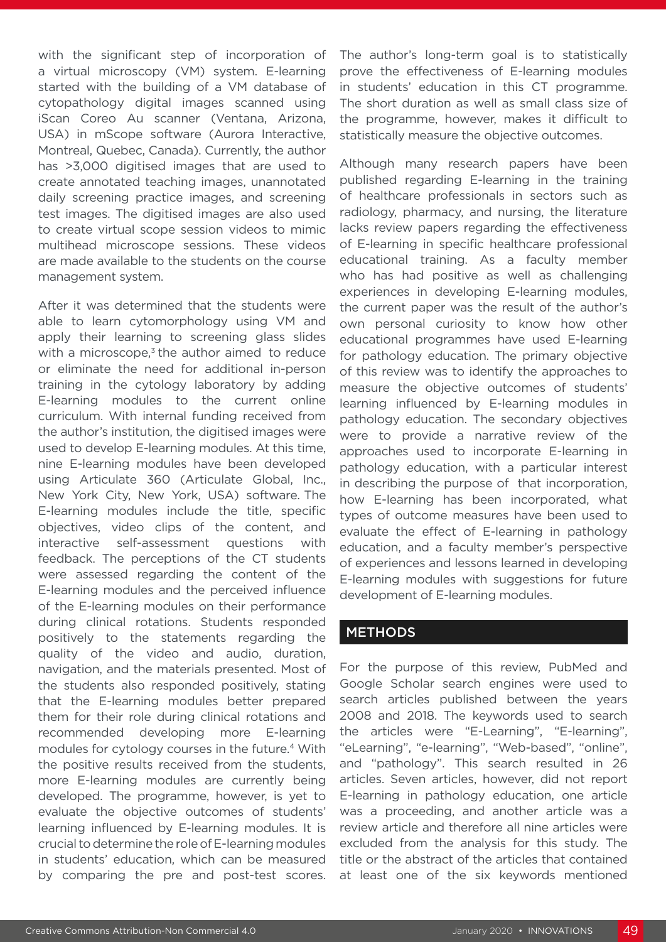with the significant step of incorporation of a virtual microscopy (VM) system. E-learning started with the building of a VM database of cytopathology digital images scanned using iScan Coreo Au scanner (Ventana, Arizona, USA) in mScope software (Aurora Interactive, Montreal, Quebec, Canada). Currently, the author has >3,000 digitised images that are used to create annotated teaching images, unannotated daily screening practice images, and screening test images. The digitised images are also used to create virtual scope session videos to mimic multihead microscope sessions. These videos are made available to the students on the course management system.

After it was determined that the students were able to learn cytomorphology using VM and apply their learning to screening glass slides with a microscope, $3$  the author aimed to reduce or eliminate the need for additional in-person training in the cytology laboratory by adding E-learning modules to the current online curriculum. With internal funding received from the author's institution, the digitised images were used to develop E-learning modules. At this time, nine E-learning modules have been developed using Articulate 360 (Articulate Global, Inc., New York City, New York, USA) software. The E-learning modules include the title, specific objectives, video clips of the content, and interactive self-assessment questions with feedback. The perceptions of the CT students were assessed regarding the content of the E-learning modules and the perceived influence of the E-learning modules on their performance during clinical rotations. Students responded positively to the statements regarding the quality of the video and audio, duration, navigation, and the materials presented. Most of the students also responded positively, stating that the E-learning modules better prepared them for their role during clinical rotations and recommended developing more E-learning modules for cytology courses in the future.4 With the positive results received from the students, more E-learning modules are currently being developed. The programme, however, is yet to evaluate the objective outcomes of students' learning influenced by E-learning modules. It is crucial to determine the role of E-learning modules in students' education, which can be measured by comparing the pre and post-test scores.

The author's long-term goal is to statistically prove the effectiveness of E-learning modules in students' education in this CT programme. The short duration as well as small class size of the programme, however, makes it difficult to statistically measure the objective outcomes.

Although many research papers have been published regarding E-learning in the training of healthcare professionals in sectors such as radiology, pharmacy, and nursing, the literature lacks review papers regarding the effectiveness of E-learning in specific healthcare professional educational training. As a faculty member who has had positive as well as challenging experiences in developing E-learning modules, the current paper was the result of the author's own personal curiosity to know how other educational programmes have used E-learning for pathology education. The primary objective of this review was to identify the approaches to measure the objective outcomes of students' learning influenced by E-learning modules in pathology education. The secondary objectives were to provide a narrative review of the approaches used to incorporate E-learning in pathology education, with a particular interest in describing the purpose of that incorporation, how E-learning has been incorporated, what types of outcome measures have been used to evaluate the effect of E-learning in pathology education, and a faculty member's perspective of experiences and lessons learned in developing E-learning modules with suggestions for future development of E-learning modules.

#### **METHODS**

For the purpose of this review, PubMed and Google Scholar search engines were used to search articles published between the years 2008 and 2018. The keywords used to search the articles were "E-Learning", "E-learning", "eLearning", "e-learning", "Web-based", "online", and "pathology". This search resulted in 26 articles. Seven articles, however, did not report E-learning in pathology education, one article was a proceeding, and another article was a review article and therefore all nine articles were excluded from the analysis for this study. The title or the abstract of the articles that contained at least one of the six keywords mentioned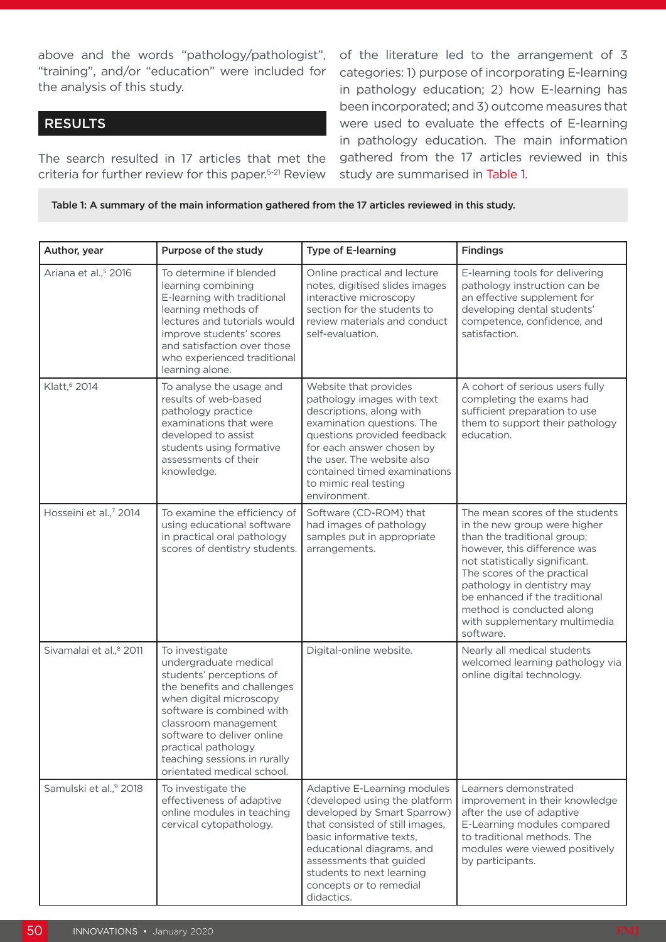above and the words "pathology/pathologist", "training", and/or "education" were included for the analysis of this study.

#### RESULTS

The search resulted in 17 articles that met the criteria for further review for this paper.5-21 Review of the literature led to the arrangement of 3 categories: 1) purpose of incorporating E-learning in pathology education; 2) how E-learning has been incorporated; and 3) outcome measures that were used to evaluate the effects of E-learning in pathology education. The main information gathered from the 17 articles reviewed in this study are summarised in Table 1.

Table 1: A summary of the main information gathered from the 17 articles reviewed in this study.

| Author, year                        | Purpose of the study                                                                                                                                                                                                                                                                                  | <b>Type of E-learning</b>                                                                                                                                                                                                                                                                | <b>Findings</b>                                                                                                                                                                                                                                                                                                                            |
|-------------------------------------|-------------------------------------------------------------------------------------------------------------------------------------------------------------------------------------------------------------------------------------------------------------------------------------------------------|------------------------------------------------------------------------------------------------------------------------------------------------------------------------------------------------------------------------------------------------------------------------------------------|--------------------------------------------------------------------------------------------------------------------------------------------------------------------------------------------------------------------------------------------------------------------------------------------------------------------------------------------|
| Ariana et al., <sup>5</sup> 2016    | To determine if blended<br>learning combining<br>E-learning with traditional<br>learning methods of<br>lectures and tutorials would<br>improve students' scores<br>and satisfaction over those<br>who experienced traditional<br>learning alone.                                                      | Online practical and lecture<br>notes, digitised slides images<br>interactive microscopy<br>section for the students to<br>review materials and conduct<br>self-evaluation.                                                                                                              | E-learning tools for delivering<br>pathology instruction can be<br>an effective supplement for<br>developing dental students'<br>competence, confidence, and<br>satisfaction.                                                                                                                                                              |
| Klatt, <sup>6</sup> 2014            | To analyse the usage and<br>results of web-based<br>pathology practice<br>examinations that were<br>developed to assist<br>students using formative<br>assessments of their<br>knowledge.                                                                                                             | Website that provides<br>pathology images with text<br>descriptions, along with<br>examination questions. The<br>questions provided feedback<br>for each answer chosen by<br>the user. The website also<br>contained timed examinations<br>to mimic real testing<br>environment.         | A cohort of serious users fully<br>completing the exams had<br>sufficient preparation to use<br>them to support their pathology<br>education.                                                                                                                                                                                              |
| Hosseini et al.,7 2014              | To examine the efficiency of<br>using educational software<br>in practical oral pathology<br>scores of dentistry students.                                                                                                                                                                            | Software (CD-ROM) that<br>had images of pathology<br>samples put in appropriate<br>arrangements.                                                                                                                                                                                         | The mean scores of the students<br>in the new group were higher<br>than the traditional group;<br>however, this difference was<br>not statistically significant.<br>The scores of the practical<br>pathology in dentistry may<br>be enhanced if the traditional<br>method is conducted along<br>with supplementary multimedia<br>software. |
| Sivamalai et al., <sup>8</sup> 2011 | To investigate<br>undergraduate medical<br>students' perceptions of<br>the benefits and challenges<br>when digital microscopy<br>software is combined with<br>classroom management<br>software to deliver online<br>practical pathology<br>teaching sessions in rurally<br>orientated medical school. | Digital-online website.                                                                                                                                                                                                                                                                  | Nearly all medical students<br>welcomed learning pathology via<br>online digital technology.                                                                                                                                                                                                                                               |
| Samulski et al.,9 2018              | To investigate the<br>effectiveness of adaptive<br>online modules in teaching<br>cervical cytopathology.                                                                                                                                                                                              | Adaptive E-Learning modules<br>(developed using the platform<br>developed by Smart Sparrow)<br>that consisted of still images,<br>basic informative texts,<br>educational diagrams, and<br>assessments that guided<br>students to next learning<br>concepts or to remedial<br>didactics. | Learners demonstrated<br>improvement in their knowledge<br>after the use of adaptive<br>E-Learning modules compared<br>to traditional methods. The<br>modules were viewed positively<br>by participants.                                                                                                                                   |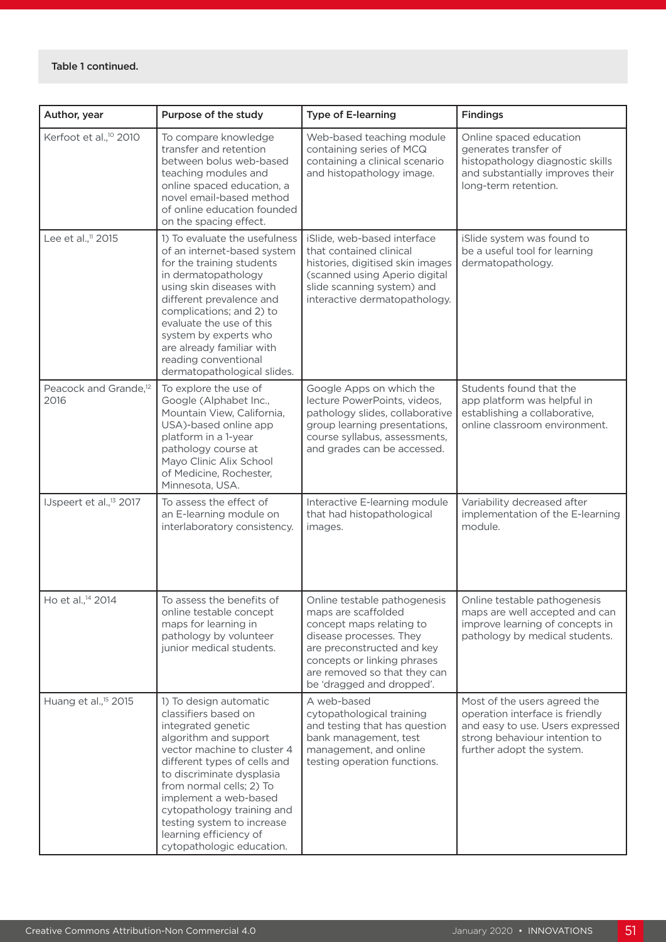| Author, year                              | Purpose of the study                                                                                                                                                                                                                                                                                                                                              | <b>Type of E-learning</b>                                                                                                                                                                                                            | <b>Findings</b>                                                                                                                                                   |
|-------------------------------------------|-------------------------------------------------------------------------------------------------------------------------------------------------------------------------------------------------------------------------------------------------------------------------------------------------------------------------------------------------------------------|--------------------------------------------------------------------------------------------------------------------------------------------------------------------------------------------------------------------------------------|-------------------------------------------------------------------------------------------------------------------------------------------------------------------|
| Kerfoot et al., <sup>10</sup> 2010        | To compare knowledge<br>transfer and retention<br>between bolus web-based<br>teaching modules and<br>online spaced education, a<br>novel email-based method<br>of online education founded<br>on the spacing effect.                                                                                                                                              | Web-based teaching module<br>containing series of MCQ<br>containing a clinical scenario<br>and histopathology image.                                                                                                                 | Online spaced education<br>generates transfer of<br>histopathology diagnostic skills<br>and substantially improves their<br>long-term retention.                  |
| Lee et al., <sup>11</sup> 2015            | 1) To evaluate the usefulness<br>of an internet-based system<br>for the training students<br>in dermatopathology<br>using skin diseases with<br>different prevalence and<br>complications; and 2) to<br>evaluate the use of this<br>system by experts who<br>are already familiar with<br>reading conventional<br>dermatopathological slides.                     | iSlide, web-based interface<br>that contained clinical<br>histories, digitised skin images<br>(scanned using Aperio digital<br>slide scanning system) and<br>interactive dermatopathology.                                           | iSlide system was found to<br>be a useful tool for learning<br>dermatopathology.                                                                                  |
| Peacock and Grande, <sup>12</sup><br>2016 | To explore the use of<br>Google (Alphabet Inc.,<br>Mountain View, California,<br>USA)-based online app<br>platform in a 1-year<br>pathology course at<br>Mayo Clinic Alix School<br>of Medicine, Rochester,<br>Minnesota, USA.                                                                                                                                    | Google Apps on which the<br>lecture PowerPoints, videos,<br>pathology slides, collaborative<br>group learning presentations,<br>course syllabus, assessments,<br>and grades can be accessed.                                         | Students found that the<br>app platform was helpful in<br>establishing a collaborative,<br>online classroom environment.                                          |
| IJspeert et al., <sup>13</sup> 2017       | To assess the effect of<br>an E-learning module on<br>interlaboratory consistency.                                                                                                                                                                                                                                                                                | Interactive E-learning module<br>that had histopathological<br>images.                                                                                                                                                               | Variability decreased after<br>implementation of the E-learning<br>module.                                                                                        |
| Ho et al., <sup>14</sup> 2014             | To assess the benefits of<br>online testable concept<br>maps for learning in<br>pathology by volunteer<br>junior medical students.                                                                                                                                                                                                                                | Online testable pathogenesis<br>maps are scaffolded<br>concept maps relating to<br>disease processes. They<br>are preconstructed and key<br>concepts or linking phrases<br>are removed so that they can<br>be 'dragged and dropped'. | Online testable pathogenesis<br>maps are well accepted and can<br>improve learning of concepts in<br>pathology by medical students.                               |
| Huang et al., <sup>15</sup> 2015          | 1) To design automatic<br>classifiers based on<br>integrated genetic<br>algorithm and support<br>vector machine to cluster 4<br>different types of cells and<br>to discriminate dysplasia<br>from normal cells; 2) To<br>implement a web-based<br>cytopathology training and<br>testing system to increase<br>learning efficiency of<br>cytopathologic education. | A web-based<br>cytopathological training<br>and testing that has question<br>bank management, test<br>management, and online<br>testing operation functions.                                                                         | Most of the users agreed the<br>operation interface is friendly<br>and easy to use. Users expressed<br>strong behaviour intention to<br>further adopt the system. |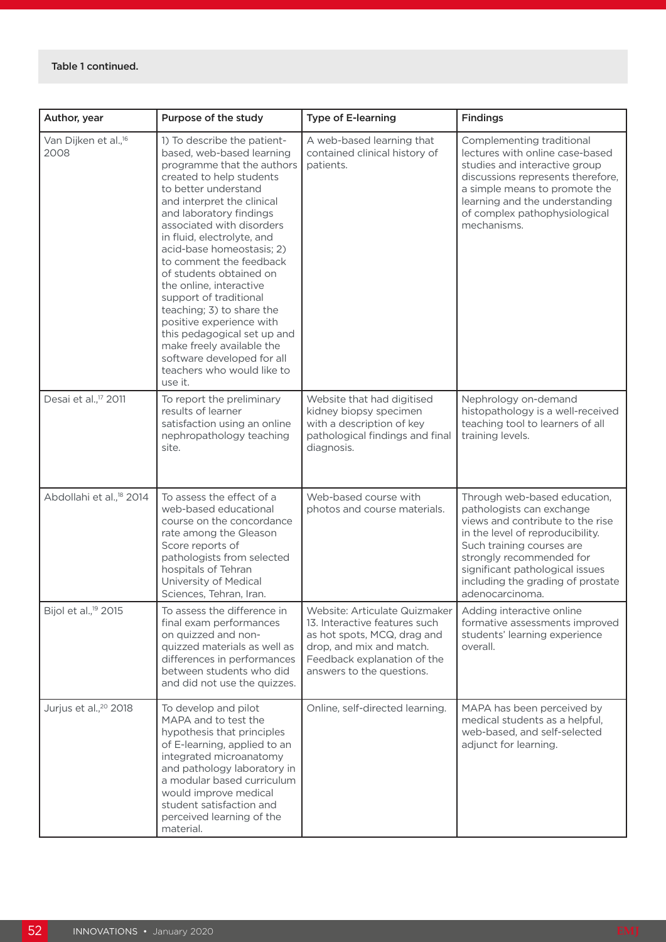| Author, year                             | Purpose of the study                                                                                                                                                                                                                                                                                                                                                                                                                                                                                                                                                                               | <b>Type of E-learning</b>                                                                                                                                                             | <b>Findings</b>                                                                                                                                                                                                                                                                       |
|------------------------------------------|----------------------------------------------------------------------------------------------------------------------------------------------------------------------------------------------------------------------------------------------------------------------------------------------------------------------------------------------------------------------------------------------------------------------------------------------------------------------------------------------------------------------------------------------------------------------------------------------------|---------------------------------------------------------------------------------------------------------------------------------------------------------------------------------------|---------------------------------------------------------------------------------------------------------------------------------------------------------------------------------------------------------------------------------------------------------------------------------------|
| Van Dijken et al., <sup>16</sup><br>2008 | 1) To describe the patient-<br>based, web-based learning<br>programme that the authors<br>created to help students<br>to better understand<br>and interpret the clinical<br>and laboratory findings<br>associated with disorders<br>in fluid, electrolyte, and<br>acid-base homeostasis; 2)<br>to comment the feedback<br>of students obtained on<br>the online, interactive<br>support of traditional<br>teaching; 3) to share the<br>positive experience with<br>this pedagogical set up and<br>make freely available the<br>software developed for all<br>teachers who would like to<br>use it. | A web-based learning that<br>contained clinical history of<br>patients.                                                                                                               | Complementing traditional<br>lectures with online case-based<br>studies and interactive group<br>discussions represents therefore,<br>a simple means to promote the<br>learning and the understanding<br>of complex pathophysiological<br>mechanisms.                                 |
| Desai et al., <sup>17</sup> 2011         | To report the preliminary<br>results of learner<br>satisfaction using an online<br>nephropathology teaching<br>site.                                                                                                                                                                                                                                                                                                                                                                                                                                                                               | Website that had digitised<br>kidney biopsy specimen<br>with a description of key<br>pathological findings and final<br>diagnosis.                                                    | Nephrology on-demand<br>histopathology is a well-received<br>teaching tool to learners of all<br>training levels.                                                                                                                                                                     |
| Abdollahi et al., <sup>18</sup> 2014     | To assess the effect of a<br>web-based educational<br>course on the concordance<br>rate among the Gleason<br>Score reports of<br>pathologists from selected<br>hospitals of Tehran<br>University of Medical<br>Sciences, Tehran, Iran.                                                                                                                                                                                                                                                                                                                                                             | Web-based course with<br>photos and course materials.                                                                                                                                 | Through web-based education,<br>pathologists can exchange<br>views and contribute to the rise<br>in the level of reproducibility.<br>Such training courses are<br>strongly recommended for<br>significant pathological issues<br>including the grading of prostate<br>adenocarcinoma. |
| Bijol et al., <sup>19</sup> 2015         | To assess the difference in<br>final exam performances<br>on quizzed and non-<br>quizzed materials as well as<br>differences in performances<br>between students who did<br>and did not use the quizzes.                                                                                                                                                                                                                                                                                                                                                                                           | Website: Articulate Quizmaker<br>13. Interactive features such<br>as hot spots, MCQ, drag and<br>drop, and mix and match.<br>Feedback explanation of the<br>answers to the questions. | Adding interactive online<br>formative assessments improved<br>students' learning experience<br>overall.                                                                                                                                                                              |
| Jurjus et al., <sup>20</sup> 2018        | To develop and pilot<br>MAPA and to test the<br>hypothesis that principles<br>of E-learning, applied to an<br>integrated microanatomy<br>and pathology laboratory in<br>a modular based curriculum<br>would improve medical<br>student satisfaction and<br>perceived learning of the<br>material.                                                                                                                                                                                                                                                                                                  | Online, self-directed learning.                                                                                                                                                       | MAPA has been perceived by<br>medical students as a helpful,<br>web-based, and self-selected<br>adjunct for learning.                                                                                                                                                                 |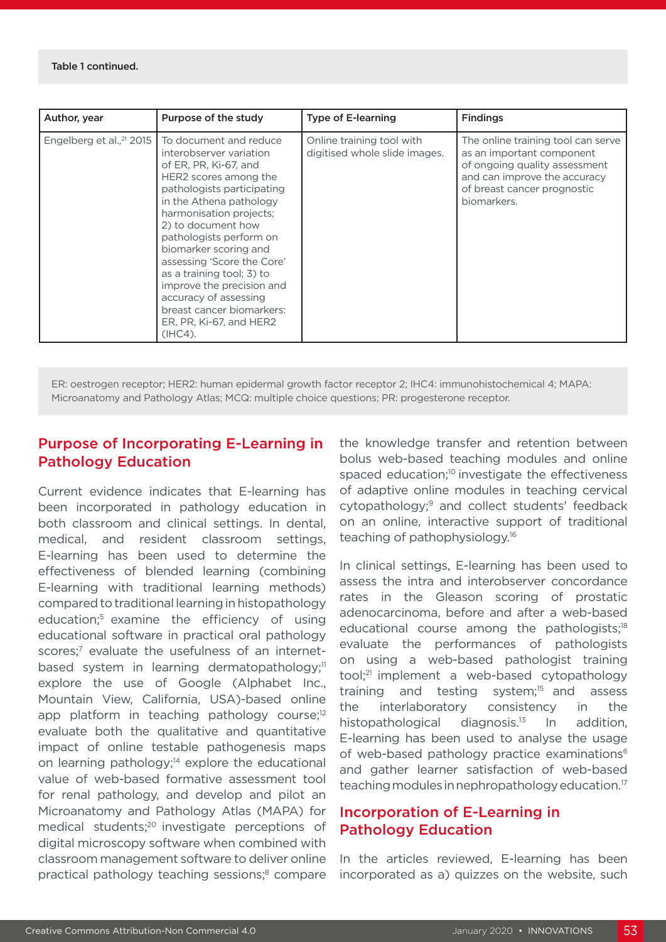| Author, year                         | Purpose of the study                                                                                                                                                                                                                                                                                                                                                                                                                                  | Type of E-learning                                         | <b>Findings</b>                                                                                                                                                                |
|--------------------------------------|-------------------------------------------------------------------------------------------------------------------------------------------------------------------------------------------------------------------------------------------------------------------------------------------------------------------------------------------------------------------------------------------------------------------------------------------------------|------------------------------------------------------------|--------------------------------------------------------------------------------------------------------------------------------------------------------------------------------|
| Engelberg et al., <sup>21</sup> 2015 | To document and reduce<br>interobserver variation<br>of ER, PR, Ki-67, and<br>HER2 scores among the<br>pathologists participating<br>in the Athena pathology<br>harmonisation projects;<br>2) to document how<br>pathologists perform on<br>biomarker scoring and<br>assessing 'Score the Core'<br>as a training tool; 3) to<br>improve the precision and<br>accuracy of assessing<br>breast cancer biomarkers:<br>ER, PR, Ki-67, and HER2<br>(IHC4). | Online training tool with<br>digitised whole slide images. | The online training tool can serve<br>as an important component<br>of ongoing quality assessment<br>and can improve the accuracy<br>of breast cancer prognostic<br>biomarkers. |

ER: oestrogen receptor; HER2: human epidermal growth factor receptor 2; IHC4: immunohistochemical 4; MAPA: Microanatomy and Pathology Atlas; MCQ: multiple choice questions; PR: progesterone receptor.

### Purpose of Incorporating E-Learning in Pathology Education

Current evidence indicates that E-learning has been incorporated in pathology education in both classroom and clinical settings. In dental, medical, and resident classroom settings, E-learning has been used to determine the effectiveness of blended learning (combining E-learning with traditional learning methods) compared to traditional learning in histopathology education;5 examine the efficiency of using educational software in practical oral pathology scores;<sup>7</sup> evaluate the usefulness of an internetbased system in learning dermatopathology;<sup>11</sup> explore the use of Google (Alphabet Inc., Mountain View, California, USA)-based online app platform in teaching pathology course;<sup>12</sup> evaluate both the qualitative and quantitative impact of online testable pathogenesis maps on learning pathology; $14$  explore the educational value of web-based formative assessment tool for renal pathology, and develop and pilot an Microanatomy and Pathology Atlas (MAPA) for medical students;<sup>20</sup> investigate perceptions of digital microscopy software when combined with classroom management software to deliver online practical pathology teaching sessions;<sup>8</sup> compare

the knowledge transfer and retention between bolus web-based teaching modules and online spaced education;<sup>10</sup> investigate the effectiveness of adaptive online modules in teaching cervical cytopathology;9 and collect students' feedback on an online, interactive support of traditional teaching of pathophysiology.16

In clinical settings, E-learning has been used to assess the intra and interobserver concordance rates in the Gleason scoring of prostatic adenocarcinoma, before and after a web-based educational course among the pathologists;<sup>18</sup> evaluate the performances of pathologists on using a web-based pathologist training tool;21 implement a web-based cytopathology training and testing system;<sup>15</sup> and assess the interlaboratory consistency in the histopathological diagnosis.<sup>13</sup> In addition, E-learning has been used to analyse the usage of web-based pathology practice examinations<sup>6</sup> and gather learner satisfaction of web-based teaching modules in nephropathology education.<sup>17</sup>

#### Incorporation of E-Learning in Pathology Education

In the articles reviewed, E-learning has been incorporated as a) quizzes on the website, such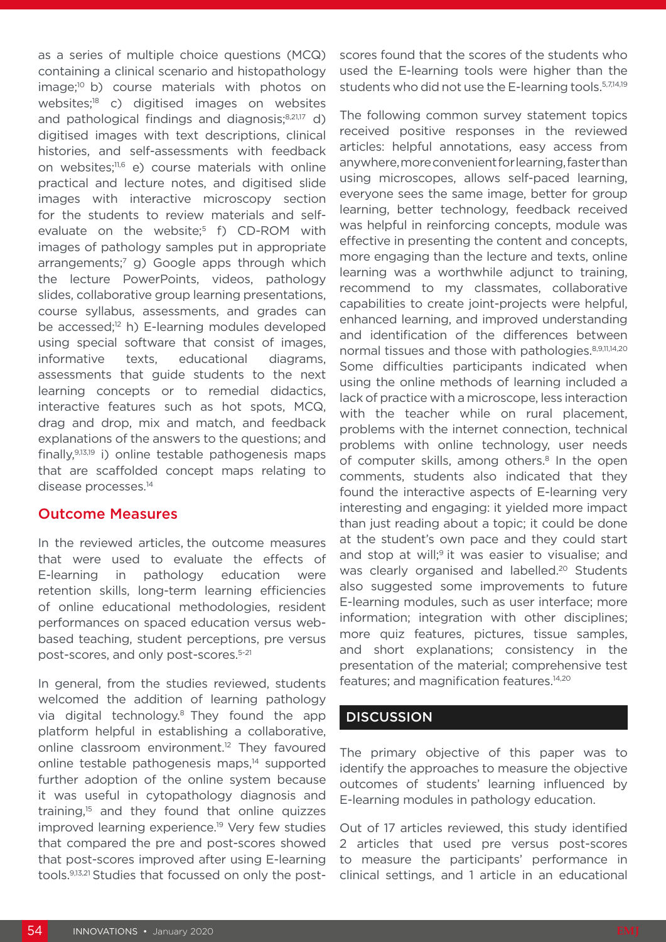as a series of multiple choice questions (MCQ) containing a clinical scenario and histopathology image;10 b) course materials with photos on websites;18 c) digitised images on websites and pathological findings and diagnosis;8,21,17 d) digitised images with text descriptions, clinical histories, and self-assessments with feedback on websites;11,6 e) course materials with online practical and lecture notes, and digitised slide images with interactive microscopy section for the students to review materials and selfevaluate on the website; $5$  f) CD-ROM with images of pathology samples put in appropriate arrangements;<sup>7</sup> g) Google apps through which the lecture PowerPoints, videos, pathology slides, collaborative group learning presentations, course syllabus, assessments, and grades can be accessed;<sup>12</sup> h) E-learning modules developed using special software that consist of images, informative texts, educational diagrams, assessments that guide students to the next learning concepts or to remedial didactics, interactive features such as hot spots, MCQ, drag and drop, mix and match, and feedback explanations of the answers to the questions; and finally,9,13,19 i) online testable pathogenesis maps that are scaffolded concept maps relating to disease processes.14

#### Outcome Measures

In the reviewed articles, the outcome measures that were used to evaluate the effects of E-learning in pathology education were retention skills, long-term learning efficiencies of online educational methodologies, resident performances on spaced education versus webbased teaching, student perceptions, pre versus post-scores, and only post-scores.5-21

In general, from the studies reviewed, students welcomed the addition of learning pathology via digital technology.<sup>8</sup> They found the app platform helpful in establishing a collaborative, online classroom environment.<sup>12</sup> They favoured online testable pathogenesis maps,14 supported further adoption of the online system because it was useful in cytopathology diagnosis and training,15 and they found that online quizzes improved learning experience.19 Very few studies that compared the pre and post-scores showed that post-scores improved after using E-learning tools.9,13,21 Studies that focussed on only the postscores found that the scores of the students who used the E-learning tools were higher than the students who did not use the E-learning tools.<sup>5,7,14,19</sup>

The following common survey statement topics received positive responses in the reviewed articles: helpful annotations, easy access from anywhere, more convenient for learning, faster than using microscopes, allows self-paced learning, everyone sees the same image, better for group learning, better technology, feedback received was helpful in reinforcing concepts, module was effective in presenting the content and concepts, more engaging than the lecture and texts, online learning was a worthwhile adjunct to training, recommend to my classmates, collaborative capabilities to create joint-projects were helpful, enhanced learning, and improved understanding and identification of the differences between normal tissues and those with pathologies.<sup>8,9,11,14,20</sup> Some difficulties participants indicated when using the online methods of learning included a lack of practice with a microscope, less interaction with the teacher while on rural placement. problems with the internet connection, technical problems with online technology, user needs of computer skills, among others.<sup>8</sup> In the open comments, students also indicated that they found the interactive aspects of E-learning very interesting and engaging: it yielded more impact than just reading about a topic; it could be done at the student's own pace and they could start and stop at will;<sup>9</sup> it was easier to visualise; and was clearly organised and labelled.<sup>20</sup> Students also suggested some improvements to future E-learning modules, such as user interface; more information; integration with other disciplines; more quiz features, pictures, tissue samples, and short explanations; consistency in the presentation of the material; comprehensive test features; and magnification features.<sup>14,20</sup>

#### **DISCUSSION**

The primary objective of this paper was to identify the approaches to measure the objective outcomes of students' learning influenced by E-learning modules in pathology education.

Out of 17 articles reviewed, this study identified 2 articles that used pre versus post-scores to measure the participants' performance in clinical settings, and 1 article in an educational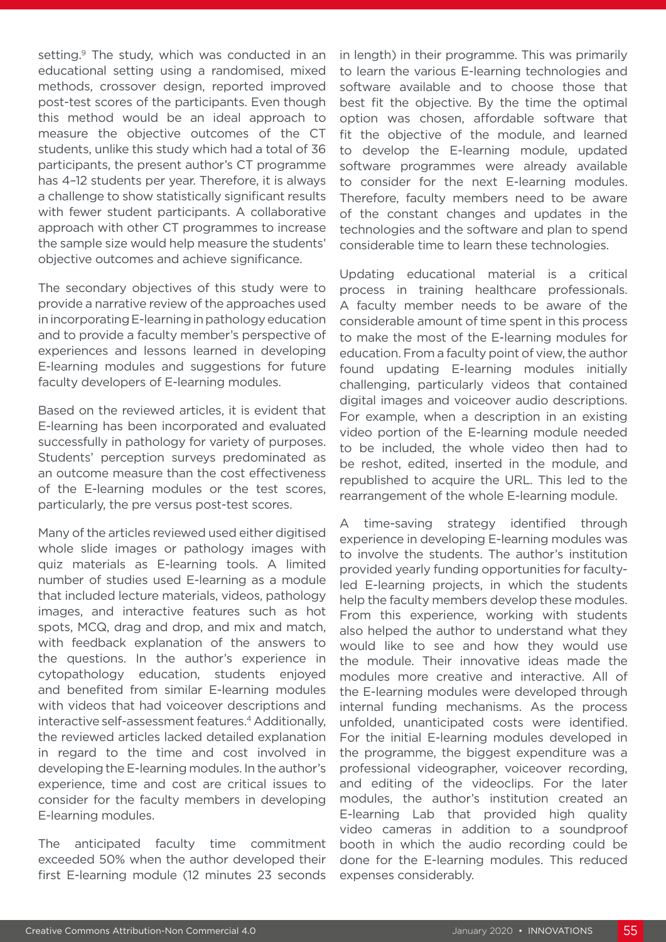setting.<sup>9</sup> The study, which was conducted in an educational setting using a randomised, mixed methods, crossover design, reported improved post-test scores of the participants. Even though this method would be an ideal approach to measure the objective outcomes of the CT students, unlike this study which had a total of 36 participants, the present author's CT programme has 4–12 students per year. Therefore, it is always a challenge to show statistically significant results with fewer student participants. A collaborative approach with other CT programmes to increase the sample size would help measure the students' objective outcomes and achieve significance.

The secondary objectives of this study were to provide a narrative review of the approaches used in incorporating E-learning in pathology education and to provide a faculty member's perspective of experiences and lessons learned in developing E-learning modules and suggestions for future faculty developers of E-learning modules.

Based on the reviewed articles, it is evident that E-learning has been incorporated and evaluated successfully in pathology for variety of purposes. Students' perception surveys predominated as an outcome measure than the cost effectiveness of the E-learning modules or the test scores, particularly, the pre versus post-test scores.

Many of the articles reviewed used either digitised whole slide images or pathology images with quiz materials as E-learning tools. A limited number of studies used E-learning as a module that included lecture materials, videos, pathology images, and interactive features such as hot spots, MCQ, drag and drop, and mix and match, with feedback explanation of the answers to the questions. In the author's experience in cytopathology education, students enjoyed and benefited from similar E-learning modules with videos that had voiceover descriptions and interactive self-assessment features.<sup>4</sup> Additionally, the reviewed articles lacked detailed explanation in regard to the time and cost involved in developing the E-learning modules. In the author's experience, time and cost are critical issues to consider for the faculty members in developing E-learning modules.

The anticipated faculty time commitment exceeded 50% when the author developed their first E-learning module (12 minutes 23 seconds

in length) in their programme. This was primarily to learn the various E-learning technologies and software available and to choose those that best fit the objective. By the time the optimal option was chosen, affordable software that fit the objective of the module, and learned to develop the E-learning module, updated software programmes were already available to consider for the next E-learning modules. Therefore, faculty members need to be aware of the constant changes and updates in the technologies and the software and plan to spend considerable time to learn these technologies.

Updating educational material is a critical process in training healthcare professionals. A faculty member needs to be aware of the considerable amount of time spent in this process to make the most of the E-learning modules for education. From a faculty point of view, the author found updating E-learning modules initially challenging, particularly videos that contained digital images and voiceover audio descriptions. For example, when a description in an existing video portion of the E-learning module needed to be included, the whole video then had to be reshot, edited, inserted in the module, and republished to acquire the URL. This led to the rearrangement of the whole E-learning module.

A time-saving strategy identified through experience in developing E-learning modules was to involve the students. The author's institution provided yearly funding opportunities for facultyled E-learning projects, in which the students help the faculty members develop these modules. From this experience, working with students also helped the author to understand what they would like to see and how they would use the module. Their innovative ideas made the modules more creative and interactive. All of the E-learning modules were developed through internal funding mechanisms. As the process unfolded, unanticipated costs were identified. For the initial E-learning modules developed in the programme, the biggest expenditure was a professional videographer, voiceover recording, and editing of the videoclips. For the later modules, the author's institution created an E-learning Lab that provided high quality video cameras in addition to a soundproof booth in which the audio recording could be done for the E-learning modules. This reduced expenses considerably.